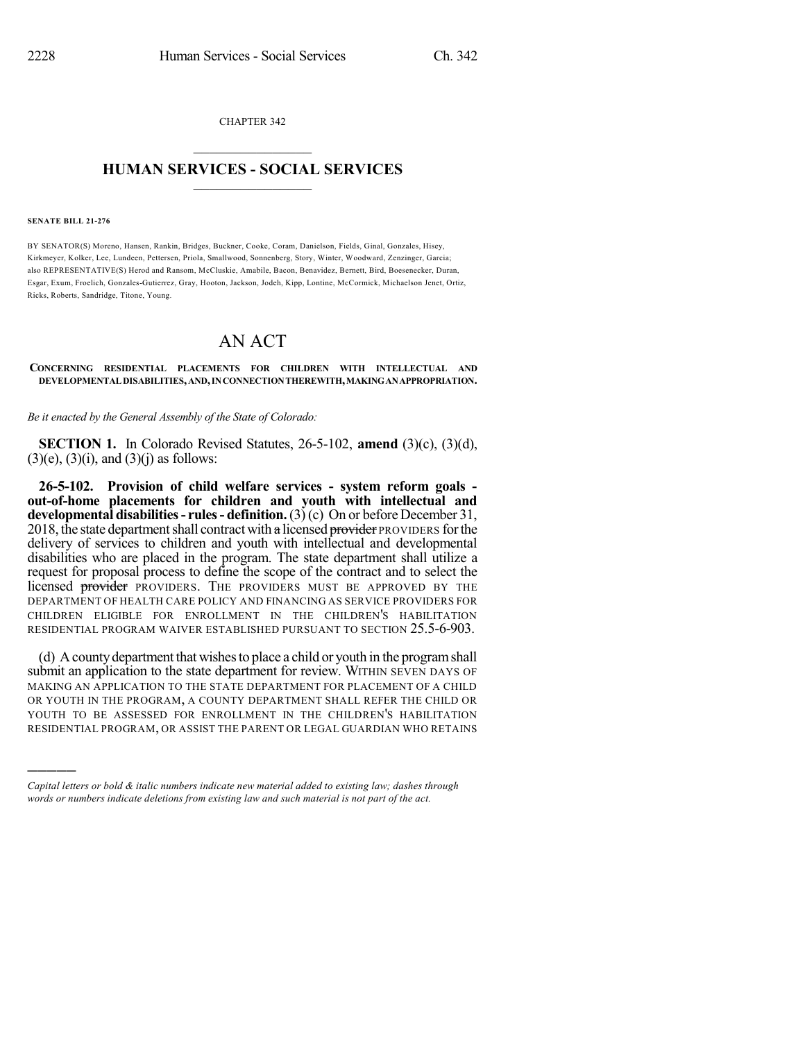CHAPTER 342  $\overline{\phantom{a}}$  . The set of the set of the set of the set of the set of the set of the set of the set of the set of the set of the set of the set of the set of the set of the set of the set of the set of the set of the set o

## **HUMAN SERVICES - SOCIAL SERVICES**  $\frac{1}{2}$  ,  $\frac{1}{2}$  ,  $\frac{1}{2}$  ,  $\frac{1}{2}$  ,  $\frac{1}{2}$  ,  $\frac{1}{2}$  ,  $\frac{1}{2}$

## **SENATE BILL 21-276**

)))))

BY SENATOR(S) Moreno, Hansen, Rankin, Bridges, Buckner, Cooke, Coram, Danielson, Fields, Ginal, Gonzales, Hisey, Kirkmeyer, Kolker, Lee, Lundeen, Pettersen, Priola, Smallwood, Sonnenberg, Story, Winter, Woodward, Zenzinger, Garcia; also REPRESENTATIVE(S) Herod and Ransom, McCluskie, Amabile, Bacon, Benavidez, Bernett, Bird, Boesenecker, Duran, Esgar, Exum, Froelich, Gonzales-Gutierrez, Gray, Hooton, Jackson, Jodeh, Kipp, Lontine, McCormick, Michaelson Jenet, Ortiz, Ricks, Roberts, Sandridge, Titone, Young.

## AN ACT

**CONCERNING RESIDENTIAL PLACEMENTS FOR CHILDREN WITH INTELLECTUAL AND DEVELOPMENTALDISABILITIES,AND,INCONNECTIONTHEREWITH,MAKINGANAPPROPRIATION.**

*Be it enacted by the General Assembly of the State of Colorado:*

**SECTION 1.** In Colorado Revised Statutes, 26-5-102, **amend** (3)(c), (3)(d),  $(3)(e)$ ,  $(3)(i)$ , and  $(3)(j)$  as follows:

**26-5-102. Provision of child welfare services - system reform goals out-of-home placements for children and youth with intellectual and developmental disabilities- rules- definition.**(3) (c) On or before December 31, 2018, the state department shall contract with a licensed provider PROVIDERS for the delivery of services to children and youth with intellectual and developmental disabilities who are placed in the program. The state department shall utilize a request for proposal process to define the scope of the contract and to select the licensed provider PROVIDERS. THE PROVIDERS MUST BE APPROVED BY THE DEPARTMENT OF HEALTH CARE POLICY AND FINANCING AS SERVICE PROVIDERS FOR CHILDREN ELIGIBLE FOR ENROLLMENT IN THE CHILDREN'S HABILITATION RESIDENTIAL PROGRAM WAIVER ESTABLISHED PURSUANT TO SECTION 25.5-6-903.

(d) Acountydepartment that wishesto place a child or youth in the programshall submit an application to the state department for review. WITHIN SEVEN DAYS OF MAKING AN APPLICATION TO THE STATE DEPARTMENT FOR PLACEMENT OF A CHILD OR YOUTH IN THE PROGRAM, A COUNTY DEPARTMENT SHALL REFER THE CHILD OR YOUTH TO BE ASSESSED FOR ENROLLMENT IN THE CHILDREN'S HABILITATION RESIDENTIAL PROGRAM, OR ASSIST THE PARENT OR LEGAL GUARDIAN WHO RETAINS

*Capital letters or bold & italic numbers indicate new material added to existing law; dashes through words or numbers indicate deletions from existing law and such material is not part of the act.*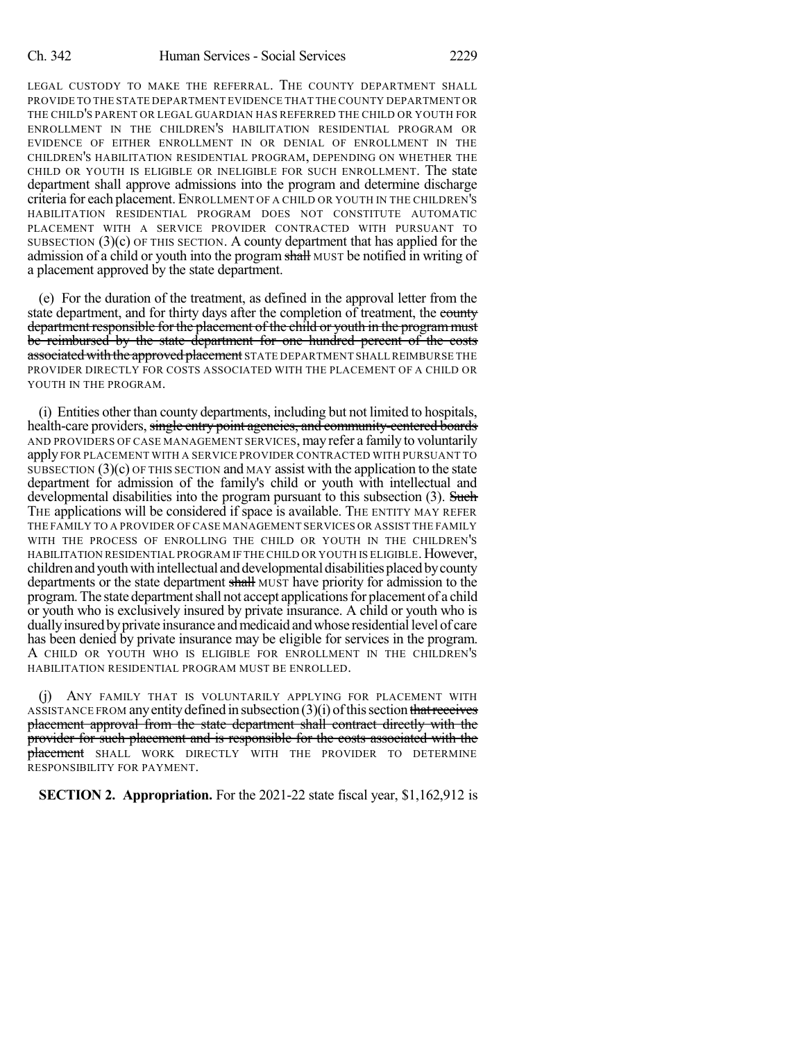LEGAL CUSTODY TO MAKE THE REFERRAL. THE COUNTY DEPARTMENT SHALL PROVIDE TO THE STATE DEPARTMENT EVIDENCE THAT THE COUNTY DEPARTMENT OR THE CHILD'S PARENT OR LEGAL GUARDIAN HAS REFERRED THE CHILD OR YOUTH FOR ENROLLMENT IN THE CHILDREN'S HABILITATION RESIDENTIAL PROGRAM OR EVIDENCE OF EITHER ENROLLMENT IN OR DENIAL OF ENROLLMENT IN THE CHILDREN'S HABILITATION RESIDENTIAL PROGRAM, DEPENDING ON WHETHER THE CHILD OR YOUTH IS ELIGIBLE OR INELIGIBLE FOR SUCH ENROLLMENT. The state department shall approve admissions into the program and determine discharge criteria for each placement. ENROLLMENT OF A CHILD OR YOUTH IN THE CHILDREN'S HABILITATION RESIDENTIAL PROGRAM DOES NOT CONSTITUTE AUTOMATIC PLACEMENT WITH A SERVICE PROVIDER CONTRACTED WITH PURSUANT TO SUBSECTION  $(3)(c)$  OF THIS SECTION. A county department that has applied for the admission of a child or youth into the program shall MUST be notified in writing of a placement approved by the state department.

(e) For the duration of the treatment, as defined in the approval letter from the state department, and for thirty days after the completion of treatment, the county department responsible for the placement of the child or youth in the program must be reimbursed by the state department for one hundred percent of the costs associated with the approved placement STATE DEPARTMENT SHALL REIMBURSE THE PROVIDER DIRECTLY FOR COSTS ASSOCIATED WITH THE PLACEMENT OF A CHILD OR YOUTH IN THE PROGRAM.

(i) Entities other than county departments, including but not limited to hospitals, health-care providers, single entry point agencies, and community-centered boards AND PROVIDERS OF CASE MANAGEMENT SERVICES, may refer a family to voluntarily apply FOR PLACEMENT WITH A SERVICE PROVIDER CONTRACTED WITH PURSUANT TO SUBSECTION  $(3)(c)$  OF THIS SECTION and MAY assist with the application to the state department for admission of the family's child or youth with intellectual and developmental disabilities into the program pursuant to this subsection (3). Such THE applications will be considered if space is available. THE ENTITY MAY REFER THE FAMILY TO A PROVIDER OF CASE MANAGEMENT SERVICES OR ASSIST THE FAMILY WITH THE PROCESS OF ENROLLING THE CHILD OR YOUTH IN THE CHILDREN'S HABILITATION RESIDENTIAL PROGRAM IF THE CHILD OR YOUTH IS ELIGIBLE. However, children and youth with intellectual and developmental disabilities placed by county departments or the state department shall MUST have priority for admission to the program. The state departmentshall not accept applicationsfor placement of a child or youth who is exclusively insured by private insurance. A child or youth who is dually insured by private insurance and medicaid and whose residential level of care has been denied by private insurance may be eligible for services in the program. A CHILD OR YOUTH WHO IS ELIGIBLE FOR ENROLLMENT IN THE CHILDREN'S HABILITATION RESIDENTIAL PROGRAM MUST BE ENROLLED.

(j) ANY FAMILY THAT IS VOLUNTARILY APPLYING FOR PLACEMENT WITH ASSISTANCE FROM any entity defined in subsection  $(3)(i)$  of this section that receives placement approval from the state department shall contract directly with the provider for such placement and is responsible for the costs associated with the placement SHALL WORK DIRECTLY WITH THE PROVIDER TO DETERMINE RESPONSIBILITY FOR PAYMENT.

**SECTION 2. Appropriation.** For the 2021-22 state fiscal year, \$1,162,912 is